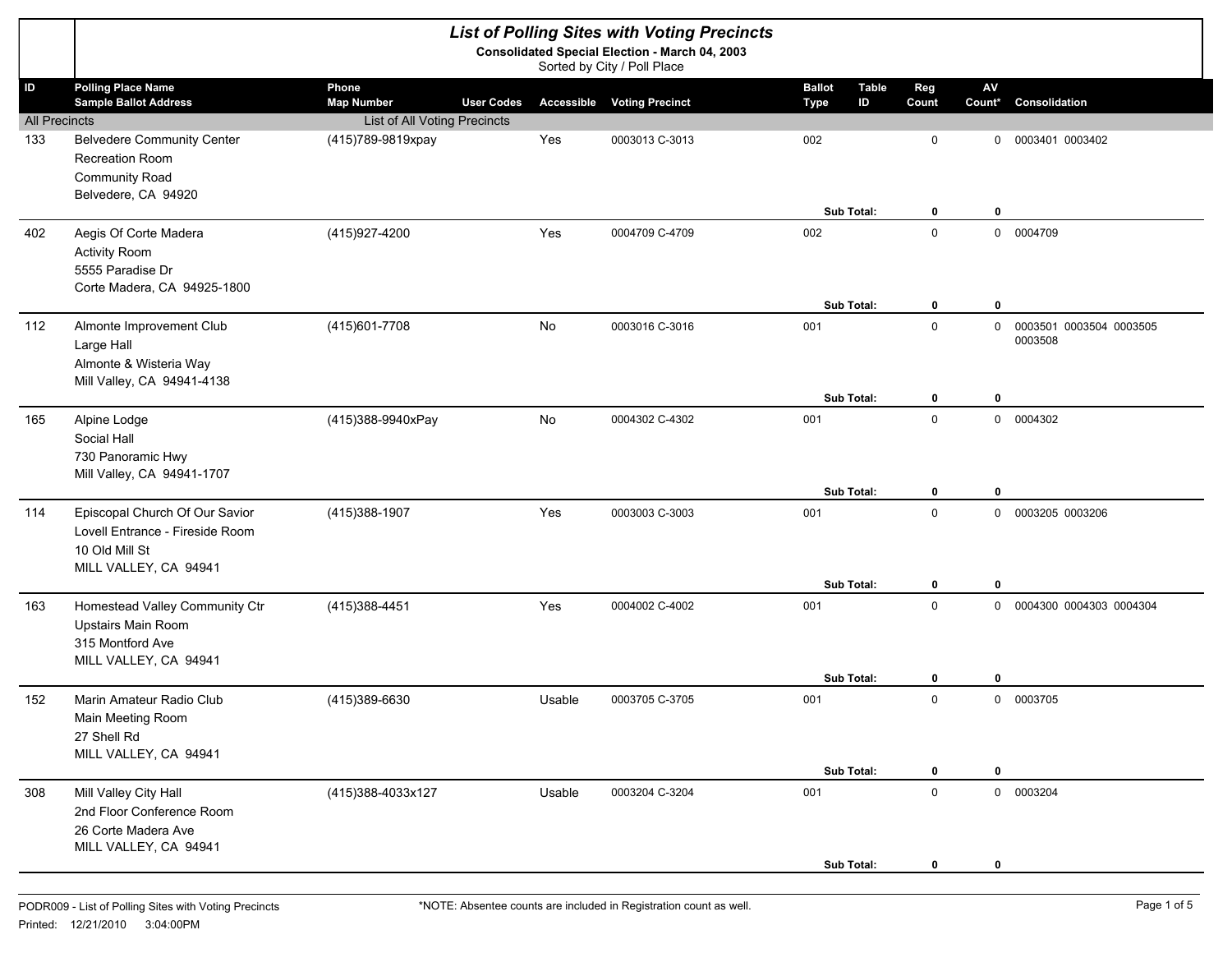|                      |                                                                                                              |                                                 |           | <b>List of Polling Sites with Voting Precincts</b>                                   |                                                    |                         |                      |                                      |
|----------------------|--------------------------------------------------------------------------------------------------------------|-------------------------------------------------|-----------|--------------------------------------------------------------------------------------|----------------------------------------------------|-------------------------|----------------------|--------------------------------------|
|                      |                                                                                                              |                                                 |           | <b>Consolidated Special Election - March 04, 2003</b><br>Sorted by City / Poll Place |                                                    |                         |                      |                                      |
| ID                   | <b>Polling Place Name</b><br><b>Sample Ballot Address</b>                                                    | Phone<br><b>User Codes</b><br><b>Map Number</b> |           | <b>Accessible Voting Precinct</b>                                                    | <b>Ballot</b><br><b>Table</b><br>ID<br><b>Type</b> | Reg<br>Count            | ${\sf AV}$<br>Count* | <b>Consolidation</b>                 |
| <b>All Precincts</b> |                                                                                                              | <b>List of All Voting Precincts</b>             |           |                                                                                      |                                                    |                         |                      |                                      |
| 133                  | <b>Belvedere Community Center</b><br>Recreation Room<br><b>Community Road</b><br>Belvedere, CA 94920         | (415)789-9819xpay                               | Yes       | 0003013 C-3013                                                                       | 002                                                | 0                       |                      | 0 0003401 0003402                    |
|                      |                                                                                                              |                                                 |           |                                                                                      | Sub Total:                                         | $\mathbf 0$             | $\bf{0}$             |                                      |
| 402                  | Aegis Of Corte Madera<br><b>Activity Room</b><br>5555 Paradise Dr<br>Corte Madera, CA 94925-1800             | (415)927-4200                                   | Yes       | 0004709 C-4709                                                                       | 002                                                | $\mathbf 0$             |                      | 0 0004709                            |
|                      |                                                                                                              |                                                 |           |                                                                                      | Sub Total:                                         | $\mathbf 0$             | $\bf{0}$             |                                      |
| 112                  | Almonte Improvement Club<br>Large Hall<br>Almonte & Wisteria Way<br>Mill Valley, CA 94941-4138               | (415) 601-7708                                  | No        | 0003016 C-3016                                                                       | 001                                                | $\mathbf 0$             |                      | 0 0003501 0003504 0003505<br>0003508 |
|                      |                                                                                                              |                                                 |           |                                                                                      | Sub Total:                                         | 0                       | $\bf{0}$             |                                      |
| 165                  | Alpine Lodge<br>Social Hall<br>730 Panoramic Hwy<br>Mill Valley, CA 94941-1707                               | (415)388-9940xPay                               | <b>No</b> | 0004302 C-4302                                                                       | 001                                                | $\mathbf 0$             |                      | 0 0004302                            |
|                      |                                                                                                              |                                                 |           | 0003003 C-3003                                                                       | Sub Total:<br>001                                  | $\bf{0}$<br>$\mathbf 0$ | $\bf{0}$             | 0 0003205 0003206                    |
| 114                  | Episcopal Church Of Our Savior<br>Lovell Entrance - Fireside Room<br>10 Old Mill St<br>MILL VALLEY, CA 94941 | (415)388-1907                                   | Yes       |                                                                                      |                                                    |                         |                      |                                      |
|                      |                                                                                                              |                                                 |           |                                                                                      | Sub Total:                                         | $\bf{0}$                | $\bf{0}$             |                                      |
| 163                  | Homestead Valley Community Ctr<br>Upstairs Main Room<br>315 Montford Ave<br>MILL VALLEY, CA 94941            | (415) 388-4451                                  | Yes       | 0004002 C-4002                                                                       | 001                                                | $\mathbf 0$             |                      | 0 0004300 0004303 0004304            |
|                      |                                                                                                              |                                                 |           |                                                                                      | Sub Total:                                         | 0                       | $\mathbf 0$          |                                      |
| 152                  | Marin Amateur Radio Club<br>Main Meeting Room<br>27 Shell Rd<br>MILL VALLEY, CA 94941                        | (415)389-6630                                   | Usable    | 0003705 C-3705                                                                       | 001<br>Sub Total:                                  | $\mathbf 0$             |                      | 0 0003705                            |
| 308                  | Mill Valley City Hall                                                                                        | (415)388-4033x127                               | Usable    | 0003204 C-3204                                                                       | 001                                                | 0<br>$\pmb{0}$          | $\mathbf 0$          | 0 0003204                            |
|                      | 2nd Floor Conference Room<br>26 Corte Madera Ave<br>MILL VALLEY, CA 94941                                    |                                                 |           |                                                                                      |                                                    |                         |                      |                                      |
|                      |                                                                                                              |                                                 |           |                                                                                      | Sub Total:                                         | 0                       | 0                    |                                      |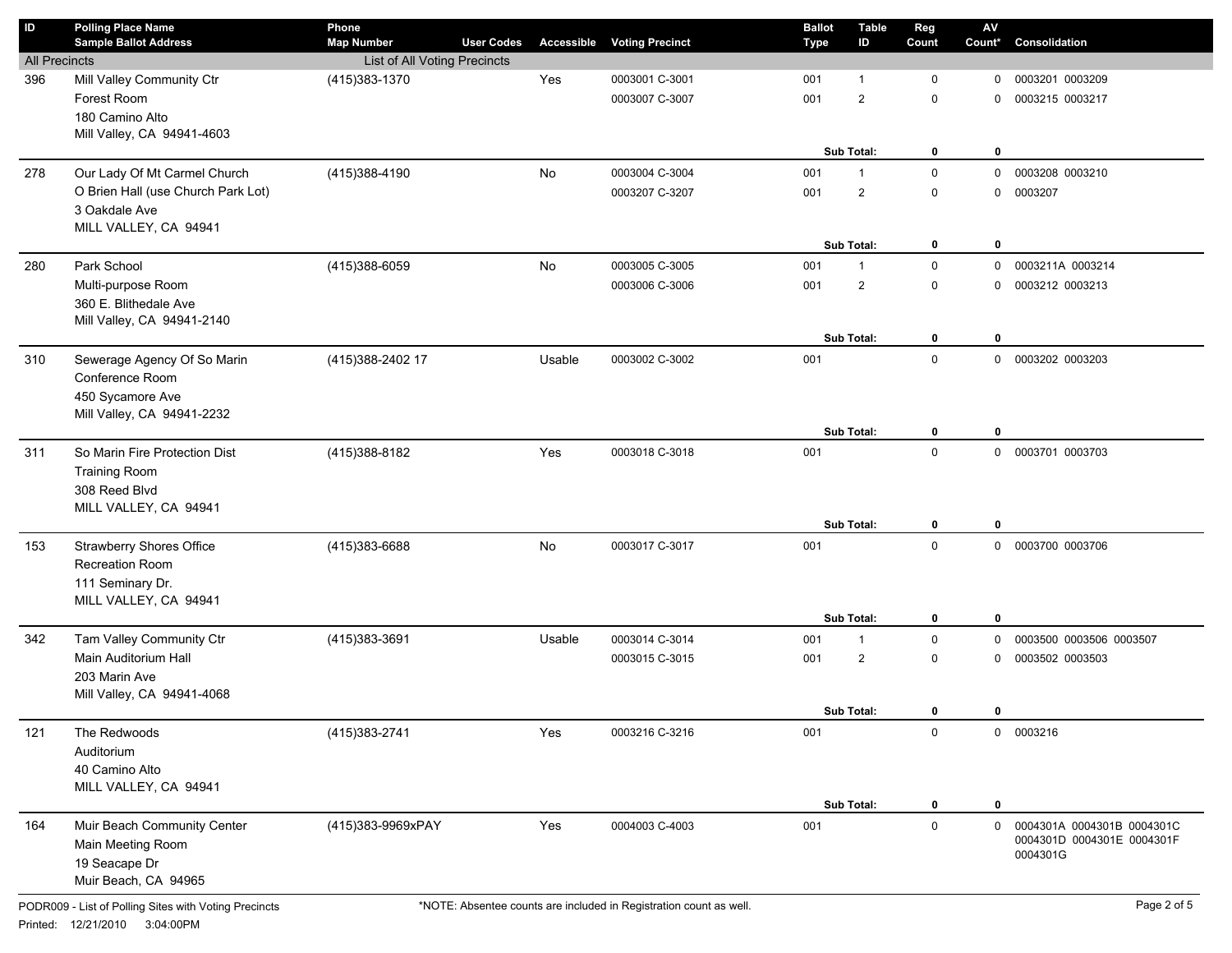| $\mathsf{ID}$        | <b>Polling Place Name</b><br><b>Sample Ballot Address</b> | Phone<br><b>Map Number</b>   | <b>User Codes</b> | Accessible | <b>Voting Precinct</b> | <b>Ballot</b><br><b>Type</b> | <b>Table</b><br>ID | Reg<br>Count | $\mathsf{AV}$<br>Count* | Consolidation              |
|----------------------|-----------------------------------------------------------|------------------------------|-------------------|------------|------------------------|------------------------------|--------------------|--------------|-------------------------|----------------------------|
| <b>All Precincts</b> |                                                           | List of All Voting Precincts |                   |            |                        |                              |                    |              |                         |                            |
| 396                  | Mill Valley Community Ctr                                 | (415) 383-1370               |                   | Yes        | 0003001 C-3001         | 001                          | $\mathbf{1}$       | $\mathbf 0$  | 0                       | 0003201 0003209            |
|                      | Forest Room                                               |                              |                   |            | 0003007 C-3007         | 001                          | $\overline{2}$     | $\mathbf 0$  | $\Omega$                | 0003215 0003217            |
|                      | 180 Camino Alto                                           |                              |                   |            |                        |                              |                    |              |                         |                            |
|                      | Mill Valley, CA 94941-4603                                |                              |                   |            |                        |                              |                    |              |                         |                            |
|                      |                                                           |                              |                   |            |                        |                              | Sub Total:         | 0            | $\mathbf 0$             |                            |
| 278                  | Our Lady Of Mt Carmel Church                              | (415)388-4190                |                   | No         | 0003004 C-3004         | 001                          | $\mathbf{1}$       | $\mathbf 0$  | $\mathbf 0$             | 0003208 0003210            |
|                      | O Brien Hall (use Church Park Lot)                        |                              |                   |            | 0003207 C-3207         | 001                          | $\overline{c}$     | $\mathbf 0$  | $\mathbf 0$             | 0003207                    |
|                      | 3 Oakdale Ave                                             |                              |                   |            |                        |                              |                    |              |                         |                            |
|                      | MILL VALLEY, CA 94941                                     |                              |                   |            |                        |                              |                    |              |                         |                            |
|                      |                                                           |                              |                   |            |                        |                              | Sub Total:         | 0            | $\mathbf 0$             |                            |
| 280                  | Park School                                               | (415)388-6059                |                   | No         | 0003005 C-3005         | 001                          | $\mathbf{1}$       | $\mathbf 0$  | 0                       | 0003211A 0003214           |
|                      | Multi-purpose Room                                        |                              |                   |            | 0003006 C-3006         | 001                          | $\overline{c}$     | $\mathbf 0$  | 0                       | 0003212 0003213            |
|                      | 360 E. Blithedale Ave                                     |                              |                   |            |                        |                              |                    |              |                         |                            |
|                      | Mill Valley, CA 94941-2140                                |                              |                   |            |                        |                              |                    |              |                         |                            |
|                      |                                                           |                              |                   |            |                        |                              | Sub Total:         | 0            | $\mathbf 0$             |                            |
| 310                  | Sewerage Agency Of So Marin                               | (415) 388-2402 17            |                   | Usable     | 0003002 C-3002         | 001                          |                    | $\mathbf 0$  | $\mathbf 0$             | 0003202 0003203            |
|                      | Conference Room                                           |                              |                   |            |                        |                              |                    |              |                         |                            |
|                      | 450 Sycamore Ave                                          |                              |                   |            |                        |                              |                    |              |                         |                            |
|                      | Mill Valley, CA 94941-2232                                |                              |                   |            |                        |                              |                    |              |                         |                            |
|                      |                                                           |                              |                   |            |                        |                              | Sub Total:         | 0            | $\mathbf 0$             |                            |
| 311                  | So Marin Fire Protection Dist                             | (415)388-8182                |                   | Yes        | 0003018 C-3018         | 001                          |                    | $\mathbf 0$  | $\mathbf 0$             | 0003701 0003703            |
|                      | <b>Training Room</b>                                      |                              |                   |            |                        |                              |                    |              |                         |                            |
|                      | 308 Reed Blvd                                             |                              |                   |            |                        |                              |                    |              |                         |                            |
|                      | MILL VALLEY, CA 94941                                     |                              |                   |            |                        |                              | Sub Total:         |              |                         |                            |
|                      |                                                           |                              |                   |            |                        |                              |                    | 0            | $\mathbf 0$             |                            |
| 153                  | <b>Strawberry Shores Office</b>                           | (415)383-6688                |                   | No         | 0003017 C-3017         | 001                          |                    | $\mathbf 0$  | $\mathbf 0$             | 0003700 0003706            |
|                      | Recreation Room                                           |                              |                   |            |                        |                              |                    |              |                         |                            |
|                      | 111 Seminary Dr.<br>MILL VALLEY, CA 94941                 |                              |                   |            |                        |                              |                    |              |                         |                            |
|                      |                                                           |                              |                   |            |                        |                              | Sub Total:         | 0            | $\mathbf 0$             |                            |
| 342                  | Tam Valley Community Ctr                                  | (415)383-3691                |                   | Usable     | 0003014 C-3014         | 001                          | $\mathbf{1}$       | $\mathsf 0$  | 0                       | 0003500 0003506 0003507    |
|                      | Main Auditorium Hall                                      |                              |                   |            | 0003015 C-3015         | 001                          | $\overline{2}$     | $\mathbf 0$  | 0                       | 0003502 0003503            |
|                      | 203 Marin Ave                                             |                              |                   |            |                        |                              |                    |              |                         |                            |
|                      | Mill Valley, CA 94941-4068                                |                              |                   |            |                        |                              |                    |              |                         |                            |
|                      |                                                           |                              |                   |            |                        |                              | Sub Total:         | 0            | 0                       |                            |
| 121                  | The Redwoods                                              | (415) 383-2741               |                   | Yes        | 0003216 C-3216         | 001                          |                    | 0            |                         | 0 0003216                  |
|                      | Auditorium                                                |                              |                   |            |                        |                              |                    |              |                         |                            |
|                      | 40 Camino Alto                                            |                              |                   |            |                        |                              |                    |              |                         |                            |
|                      | MILL VALLEY, CA 94941                                     |                              |                   |            |                        |                              |                    |              |                         |                            |
|                      |                                                           |                              |                   |            |                        |                              | Sub Total:         | 0            | 0                       |                            |
| 164                  | Muir Beach Community Center                               | (415)383-9969xPAY            |                   | Yes        | 0004003 C-4003         | 001                          |                    | $\mathsf 0$  | 0                       | 0004301A 0004301B 0004301C |
|                      | Main Meeting Room                                         |                              |                   |            |                        |                              |                    |              |                         | 0004301D 0004301E 0004301F |
|                      | 19 Seacape Dr                                             |                              |                   |            |                        |                              |                    |              |                         | 0004301G                   |
|                      | Muir Beach, CA 94965                                      |                              |                   |            |                        |                              |                    |              |                         |                            |
|                      |                                                           |                              |                   |            |                        |                              |                    |              |                         |                            |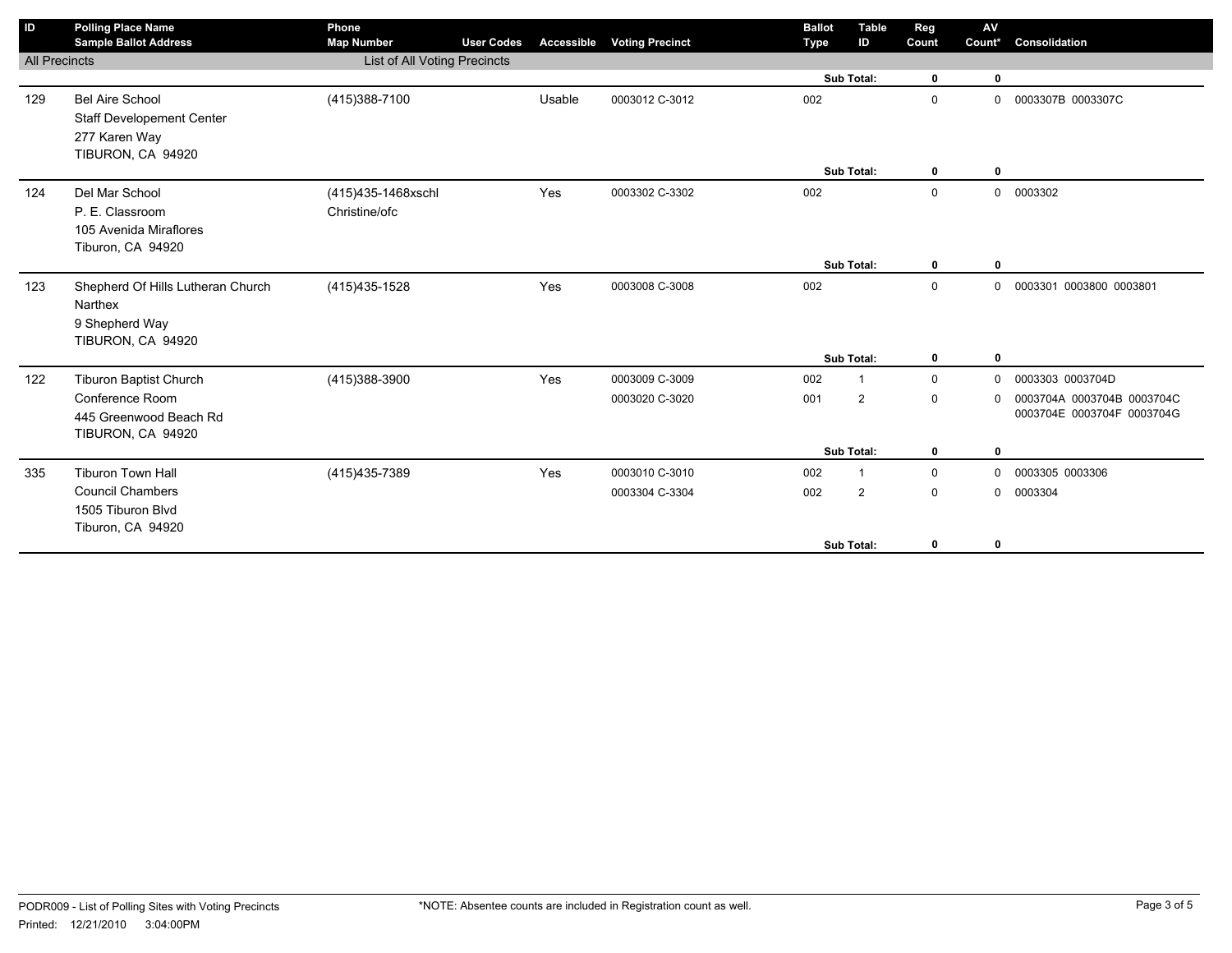| ID                   | <b>Polling Place Name</b><br><b>Sample Ballot Address</b> | Phone<br><b>Map Number</b>   | <b>User Codes</b> | Accessible | <b>Voting Precinct</b> | <b>Ballot</b><br><b>Type</b> | <b>Table</b><br>ID | Reg<br>Count | AV<br>Count* | Consolidation              |
|----------------------|-----------------------------------------------------------|------------------------------|-------------------|------------|------------------------|------------------------------|--------------------|--------------|--------------|----------------------------|
| <b>All Precincts</b> |                                                           | List of All Voting Precincts |                   |            |                        |                              |                    |              |              |                            |
|                      |                                                           |                              |                   |            |                        |                              | Sub Total:         | $\mathbf 0$  | $\mathbf 0$  |                            |
| 129                  | <b>Bel Aire School</b>                                    | (415) 388-7100               |                   | Usable     | 0003012 C-3012         | 002                          |                    | $\mathbf 0$  | 0            | 0003307B 0003307C          |
|                      | <b>Staff Developement Center</b>                          |                              |                   |            |                        |                              |                    |              |              |                            |
|                      | 277 Karen Way                                             |                              |                   |            |                        |                              |                    |              |              |                            |
|                      | TIBURON, CA 94920                                         |                              |                   |            |                        |                              | Sub Total:         | $\mathbf 0$  | $\mathbf{0}$ |                            |
| 124                  | Del Mar School                                            | (415)435-1468xschl           |                   | Yes        | 0003302 C-3302         | 002                          |                    | $\mathbf 0$  | 0            | 0003302                    |
|                      | P. E. Classroom                                           | Christine/ofc                |                   |            |                        |                              |                    |              |              |                            |
|                      | 105 Avenida Miraflores                                    |                              |                   |            |                        |                              |                    |              |              |                            |
|                      | Tiburon, CA 94920                                         |                              |                   |            |                        |                              |                    |              |              |                            |
|                      |                                                           |                              |                   |            |                        |                              | Sub Total:         | $\mathbf 0$  | $\mathbf 0$  |                            |
| 123                  | Shepherd Of Hills Lutheran Church                         | (415) 435-1528               |                   | Yes        | 0003008 C-3008         | 002                          |                    | $\mathbf 0$  | 0            | 0003301 0003800 0003801    |
|                      | Narthex                                                   |                              |                   |            |                        |                              |                    |              |              |                            |
|                      | 9 Shepherd Way<br>TIBURON, CA 94920                       |                              |                   |            |                        |                              |                    |              |              |                            |
|                      |                                                           |                              |                   |            |                        |                              | Sub Total:         | $\mathbf 0$  | $\mathbf 0$  |                            |
| 122                  | Tiburon Baptist Church                                    | (415)388-3900                |                   | Yes        | 0003009 C-3009         | 002                          | $\mathbf 1$        | $\mathbf{0}$ | 0            | 0003303 0003704D           |
|                      | Conference Room                                           |                              |                   |            | 0003020 C-3020         | 001                          | $\overline{2}$     | $\mathbf 0$  | $\Omega$     | 0003704A 0003704B 0003704C |
|                      | 445 Greenwood Beach Rd                                    |                              |                   |            |                        |                              |                    |              |              | 0003704E 0003704F 0003704G |
|                      | TIBURON, CA 94920                                         |                              |                   |            |                        |                              |                    |              |              |                            |
|                      |                                                           |                              |                   |            |                        |                              | Sub Total:         | $\mathbf 0$  | $\mathbf 0$  |                            |
| 335                  | <b>Tiburon Town Hall</b>                                  | (415) 435-7389               |                   | Yes        | 0003010 C-3010         | 002                          | $\overline{1}$     | $\mathbf 0$  | $\mathbf 0$  | 0003305 0003306            |
|                      | <b>Council Chambers</b>                                   |                              |                   |            | 0003304 C-3304         | 002                          | $\overline{2}$     | $\mathbf 0$  | $\mathbf 0$  | 0003304                    |
|                      | 1505 Tiburon Blvd                                         |                              |                   |            |                        |                              |                    |              |              |                            |
|                      | Tiburon, CA 94920                                         |                              |                   |            |                        |                              | Sub Total:         | 0            | 0            |                            |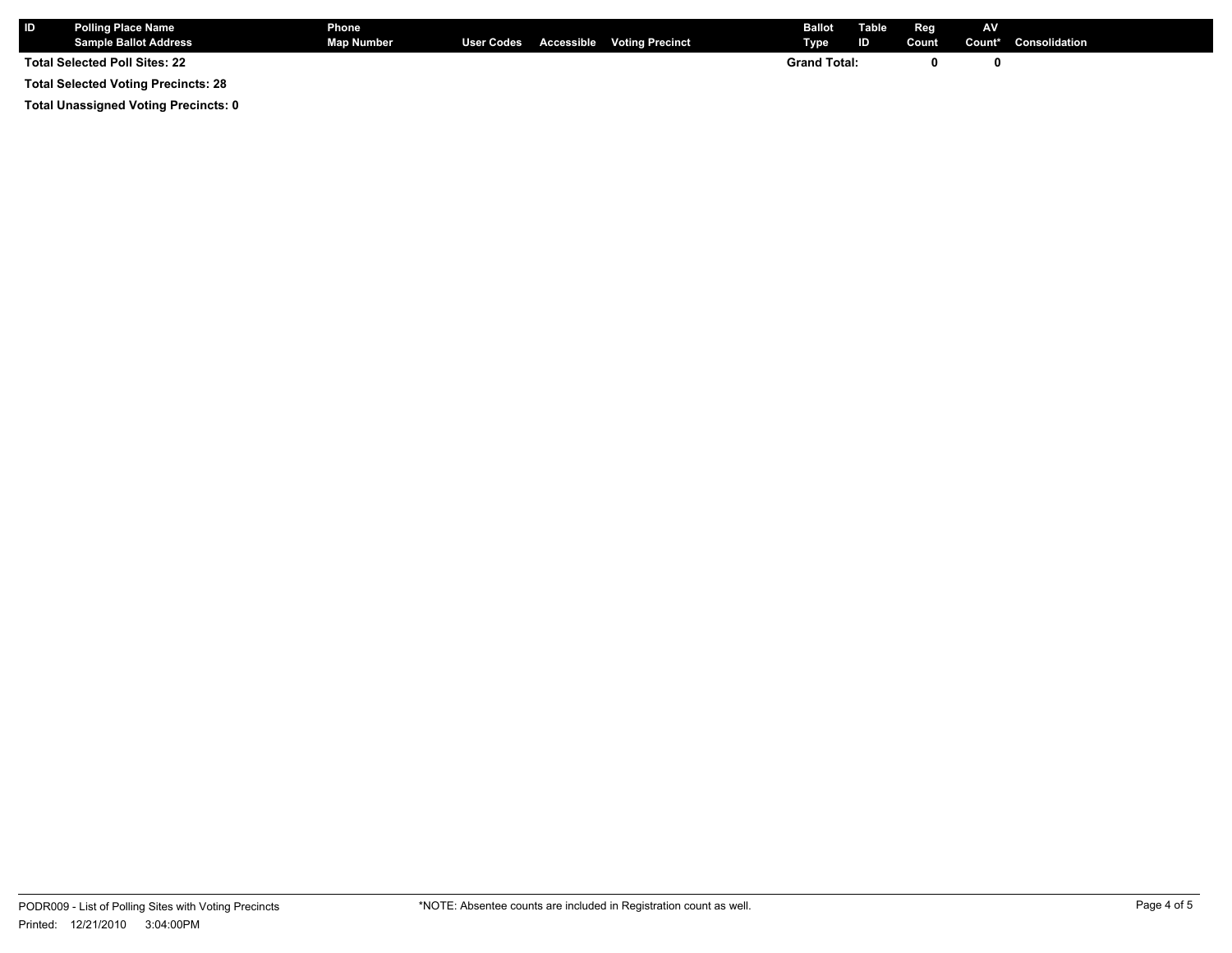| <b>ID</b> | <b>Polling Place Name</b><br><b>Sample Ballot Address</b> | <b>Phone</b><br><b>Map Number</b> |  | User Codes Accessible Voting Precinct | <b>Ballot</b><br><b>Type</b> | Table<br>ID | Reg<br>Count | <b>AV</b> | Count* Consolidation |
|-----------|-----------------------------------------------------------|-----------------------------------|--|---------------------------------------|------------------------------|-------------|--------------|-----------|----------------------|
|           | <b>Total Selected Poll Sites: 22</b>                      |                                   |  |                                       | <b>Grand Total:</b>          |             |              |           |                      |

**Total Selected Voting Precincts: 28**

**Total Unassigned Voting Precincts: 0**